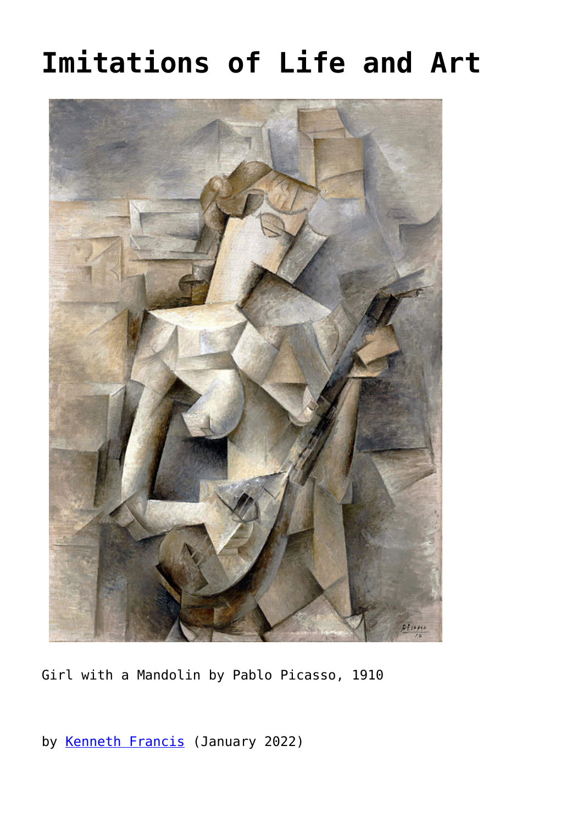## **[Imitations of Life and Art](https://www.newenglishreview.org/articles/imitations-of-life-and-art/)**



Girl with a Mandolin by Pablo Picasso, 1910

by [Kenneth Francis](https://www.newenglishreview.org/authors/kenneth-francis/?) (January 2022)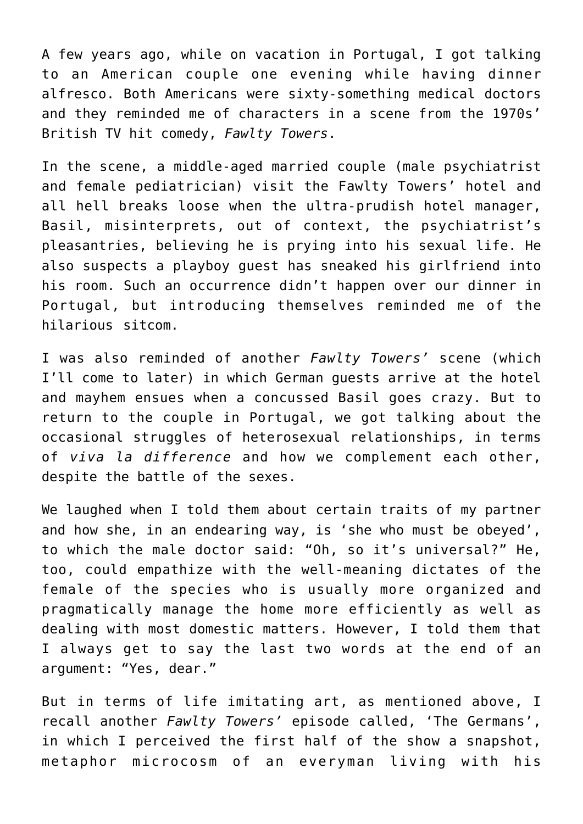A few years ago, while on vacation in Portugal, I got talking to an American couple one evening while having dinner alfresco. Both Americans were sixty-something medical doctors and they reminded me of characters in a scene from the 1970s' British TV hit comedy, *Fawlty Towers*.

In the scene, a middle-aged married couple (male psychiatrist and female pediatrician) visit the Fawlty Towers' hotel and all hell breaks loose when the ultra-prudish hotel manager, Basil, misinterprets, out of context, the psychiatrist's pleasantries, believing he is prying into his sexual life. He also suspects a playboy guest has sneaked his girlfriend into his room. Such an occurrence didn't happen over our dinner in Portugal, but introducing themselves reminded me of the hilarious sitcom.

I was also reminded of another *Fawlty Towers'* scene (which I'll come to later) in which German guests arrive at the hotel and mayhem ensues when a concussed Basil goes crazy. But to return to the couple in Portugal, we got talking about the occasional struggles of heterosexual relationships, in terms of *viva la difference* and how we complement each other, despite the battle of the sexes.

We laughed when I told them about certain traits of my partner and how she, in an endearing way, is 'she who must be obeyed', to which the male doctor said: "Oh, so it's universal?" He, too, could empathize with the well-meaning dictates of the female of the species who is usually more organized and pragmatically manage the home more efficiently as well as dealing with most domestic matters. However, I told them that I always get to say the last two words at the end of an argument: "Yes, dear."

But in terms of life imitating art, as mentioned above, I recall another *Fawlty Towers'* episode called, 'The Germans', in which I perceived the first half of the show a snapshot, metaphor microcosm of an everyman living with his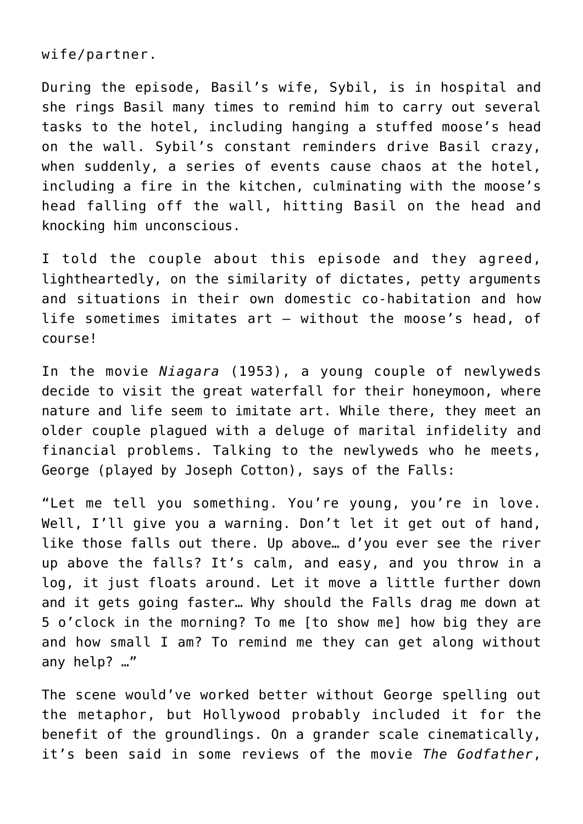wife/partner.

During the episode, Basil's wife, Sybil, is in hospital and she rings Basil many times to remind him to carry out several tasks to the hotel, including hanging a stuffed moose's head on the wall. Sybil's constant reminders drive Basil crazy, when suddenly, a series of events cause chaos at the hotel, including a fire in the kitchen, culminating with the moose's head falling off the wall, hitting Basil on the head and knocking him unconscious.

I told the couple about this episode and they agreed, lightheartedly, on the similarity of dictates, petty arguments and situations in their own domestic co-habitation and how life sometimes imitates art – without the moose's head, of course!

In the movie *Niagara* (1953), a young couple of newlyweds decide to visit the great waterfall for their honeymoon, where nature and life seem to imitate art. While there, they meet an older couple plagued with a deluge of marital infidelity and financial problems. Talking to the newlyweds who he meets, George (played by Joseph Cotton), says of the Falls:

"Let me tell you something. You're young, you're in love. Well, I'll give you a warning. Don't let it get out of hand, like those falls out there. Up above… d'you ever see the river up above the falls? It's calm, and easy, and you throw in a log, it just floats around. Let it move a little further down and it gets going faster… Why should the Falls drag me down at 5 o'clock in the morning? To me [to show me] how big they are and how small I am? To remind me they can get along without any help? …"

The scene would've worked better without George spelling out the metaphor, but Hollywood probably included it for the benefit of the groundlings. On a grander scale cinematically, it's been said in some reviews of the movie *The Godfather*,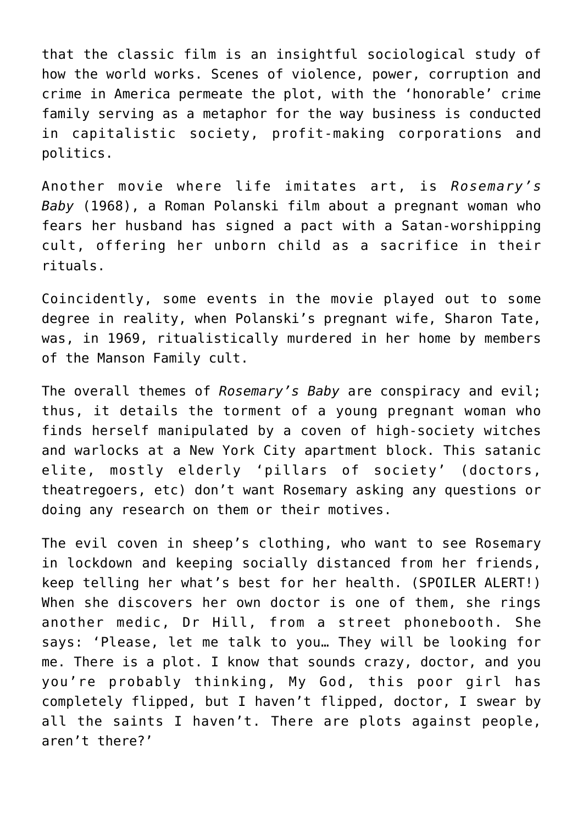that the classic film is an insightful sociological study of how the world works. Scenes of violence, power, corruption and crime in America permeate the plot, with the 'honorable' crime family serving as a metaphor for the way business is conducted in capitalistic society, profit-making corporations and politics.

Another movie where life imitates art, is *Rosemary's Baby* (1968), a Roman Polanski film about a pregnant woman who fears her husband has signed a pact with a Satan-worshipping cult, offering her unborn child as a sacrifice in their rituals.

Coincidently, some events in the movie played out to some degree in reality, when Polanski's pregnant wife, Sharon Tate, was, in 1969, ritualistically murdered in her home by members of the Manson Family cult.

The overall themes of *Rosemary's Baby* are conspiracy and evil; thus, it details the torment of a young pregnant woman who finds herself manipulated by a coven of high-society witches and warlocks at a New York City apartment block. This satanic elite, mostly elderly 'pillars of society' (doctors, theatregoers, etc) don't want Rosemary asking any questions or doing any research on them or their motives.

The evil coven in sheep's clothing, who want to see Rosemary in lockdown and keeping socially distanced from her friends, keep telling her what's best for her health. (SPOILER ALERT!) When she discovers her own doctor is one of them, she rings another medic, Dr Hill, from a street phonebooth. She says: 'Please, let me talk to you… They will be looking for me. There is a plot. I know that sounds crazy, doctor, and you you're probably thinking, My God, this poor girl has completely flipped, but I haven't flipped, doctor, I swear by all the saints I haven't. There are plots against people, aren't there?'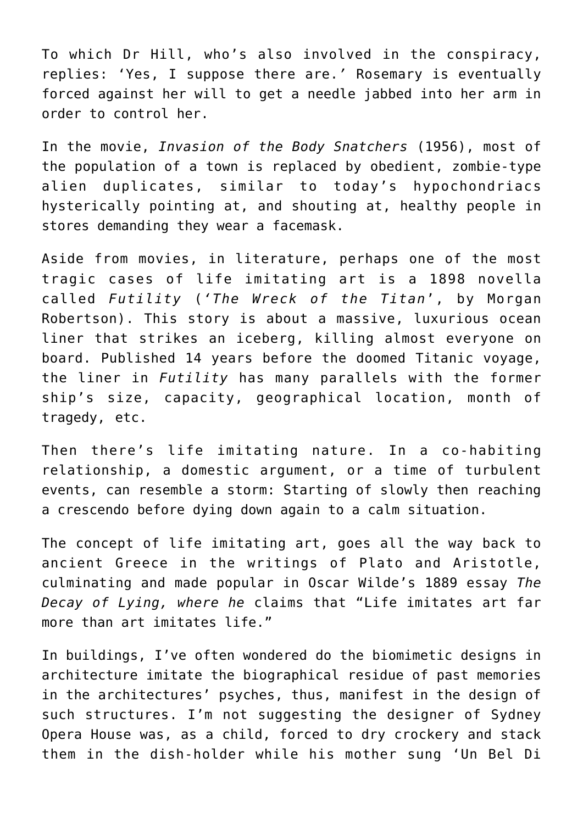To which Dr Hill, who's also involved in the conspiracy, replies: 'Yes, I suppose there are.*'* Rosemary is eventually forced against her will to get a needle jabbed into her arm in order to control her.

In the movie, *Invasion of the Body Snatchers* (1956), most of the population of a town is replaced by obedient, zombie-type alien duplicates, similar to today's hypochondriacs hysterically pointing at, and shouting at, healthy people in stores demanding they wear a facemask.

Aside from movies, in literature, perhaps one of the most tragic cases of life imitating art is a 1898 novella called *Futility* (*'The Wreck of the Titan*', by Morgan Robertson). This story is about a massive, luxurious ocean liner that strikes an iceberg, killing almost everyone on board. Published 14 years before the doomed Titanic voyage, the liner in *Futility* has many parallels with the former ship's size, capacity, geographical location, month of tragedy, etc.

Then there's life imitating nature. In a co-habiting relationship, a domestic argument, or a time of turbulent events, can resemble a storm: Starting of slowly then reaching a crescendo before dying down again to a calm situation.

The concept of life imitating art, goes all the way back to ancient Greece in the writings of Plato and Aristotle, culminating and made popular in Oscar Wilde's 1889 essay *The Decay of Lying, where he* claims that "Life imitates art far more than art imitates life."

In buildings, I've often wondered do the biomimetic designs in architecture imitate the biographical residue of past memories in the architectures' psyches, thus, manifest in the design of such structures. I'm not suggesting the designer of Sydney Opera House was, as a child, forced to dry crockery and stack them in the dish-holder while his mother sung 'Un Bel Di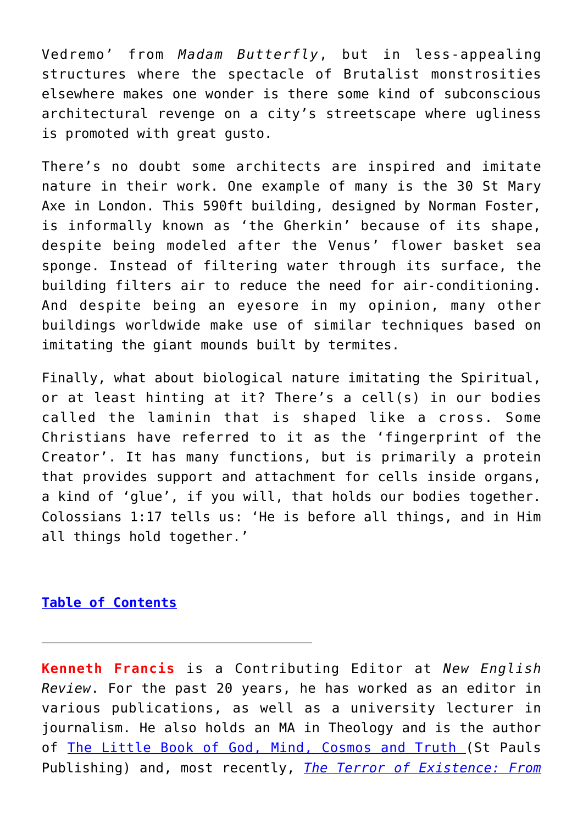Vedremo' from *Madam Butterfly*, but in less-appealing structures where the spectacle of Brutalist monstrosities elsewhere makes one wonder is there some kind of subconscious architectural revenge on a city's streetscape where ugliness is promoted with great gusto.

There's no doubt some architects are inspired and imitate nature in their work. One example of many is the 30 St Mary Axe in London. This 590ft building, designed by Norman Foster, is informally known as 'the Gherkin' because of its shape, despite being modeled after the Venus' flower basket sea sponge. Instead of filtering water through its surface, the building filters air to reduce the need for air-conditioning. And despite being an eyesore in my opinion, many other buildings worldwide make use of similar techniques based on imitating the giant mounds built by termites.

Finally, what about biological nature imitating the Spiritual, or at least hinting at it? There's a cell(s) in our bodies called the laminin that is shaped like a cross. Some Christians have referred to it as the 'fingerprint of the Creator'. It has many functions, but is primarily a protein that provides support and attachment for cells inside organs, a kind of 'glue', if you will, that holds our bodies together. Colossians 1:17 tells us: 'He is before all things, and in Him all things hold together.'

## **[Table of Contents](https://www.newenglishreview.org/)**

**Kenneth Francis** is a Contributing Editor at *New English Review*. For the past 20 years, he has worked as an editor in various publications, as well as a university lecturer in journalism. He also holds an MA in Theology and is the author of [The Little Book of God, Mind, Cosmos and Truth \(](http://stpauls.org.uk/9781910365250-the-little-book-of-god-mind-cosmos-and-truth-kenneth-francis.html)St Pauls Publishing) and, most recently, *[The Terror of Existence: From](https://smile.amazon.com/Terror-Existence-Ecclesiastes-Theatre-Absurd-ebook/dp/B07JRGHCB3/ref=sr_1_1?ie=UTF8&qid=1545663347&sr=8-1&keywords=terror+of+existence)*